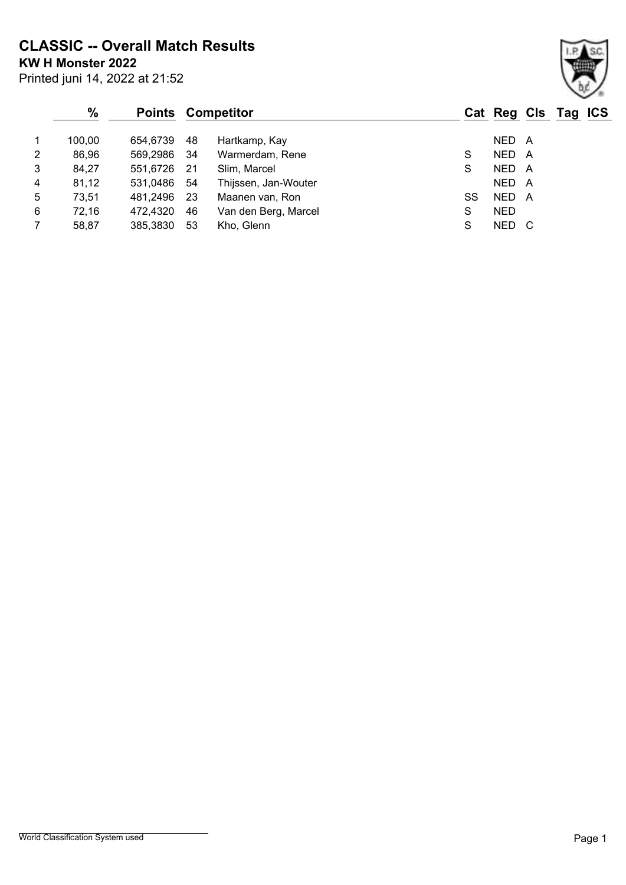**CLASSIC -- Overall Match Results**

**KW H Monster 2022**

|   | $\%$   | <b>Points</b> |      | Competitor           |    | Cat Reg Cls Tag ICS |  |  |
|---|--------|---------------|------|----------------------|----|---------------------|--|--|
|   | 100,00 | 654,6739      | 48   | Hartkamp, Kay        |    | NED A               |  |  |
| 2 | 86,96  | 569,2986      | - 34 | Warmerdam, Rene      | S  | NED A               |  |  |
| 3 | 84,27  | 551,6726      | - 21 | Slim, Marcel         | S  | NED A               |  |  |
| 4 | 81,12  | 531,0486      | - 54 | Thijssen, Jan-Wouter |    | NED A               |  |  |
| 5 | 73,51  | 481,2496      | -23  | Maanen van, Ron      | SS | NED A               |  |  |
| 6 | 72,16  | 472,4320      | 46   | Van den Berg, Marcel | S  | <b>NED</b>          |  |  |
|   | 58,87  | 385,3830      | 53   | Kho, Glenn           | S  | NED C               |  |  |

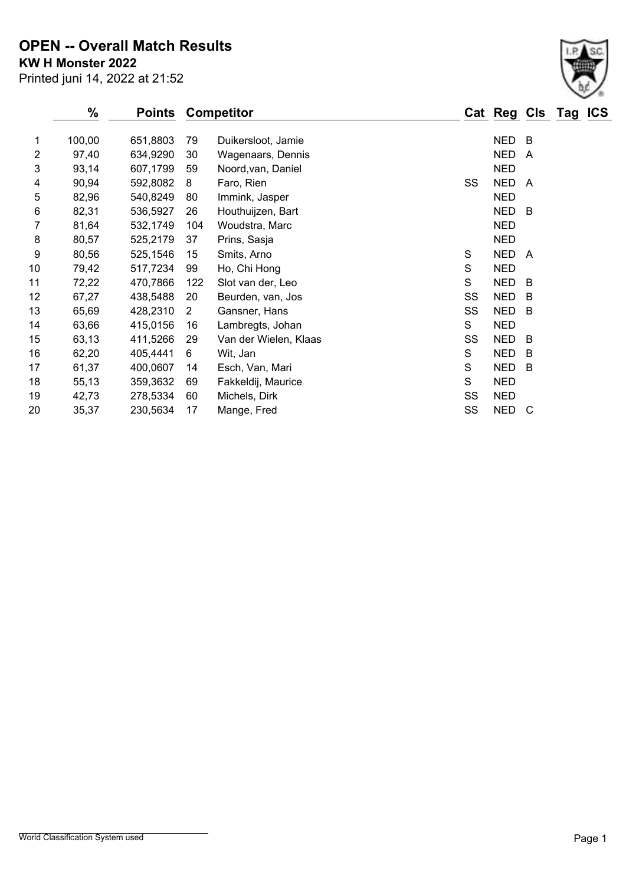**KW H Monster 2022 OPEN -- Overall Match Results**

Printed juni 14, 2022 at 21:52

|    | $\%$   | Points   |                | <b>Competitor</b>     |    | Cat Reg Cls Tag |                         | <b>ICS</b> |
|----|--------|----------|----------------|-----------------------|----|-----------------|-------------------------|------------|
| 1  | 100,00 | 651,8803 | 79             | Duikersloot, Jamie    |    | <b>NED</b>      | B                       |            |
| 2  | 97,40  | 634,9290 | 30             | Wagenaars, Dennis     |    | <b>NED</b>      | $\overline{\mathsf{A}}$ |            |
| 3  | 93,14  | 607,1799 | 59             | Noord, van, Daniel    |    | <b>NED</b>      |                         |            |
| 4  | 90,94  | 592,8082 | 8              | Faro, Rien            | SS | <b>NED</b>      | A                       |            |
| 5  | 82,96  | 540,8249 | 80             | Immink, Jasper        |    | <b>NED</b>      |                         |            |
| 6  | 82,31  | 536,5927 | 26             | Houthuijzen, Bart     |    | <b>NED</b>      | B                       |            |
| 7  | 81,64  | 532,1749 | 104            | Woudstra, Marc        |    | <b>NED</b>      |                         |            |
| 8  | 80,57  | 525,2179 | 37             | Prins, Sasja          |    | <b>NED</b>      |                         |            |
| 9  | 80,56  | 525,1546 | 15             | Smits, Arno           | S  | <b>NED</b>      | A                       |            |
| 10 | 79,42  | 517,7234 | 99             | Ho, Chi Hong          | S  | <b>NED</b>      |                         |            |
| 11 | 72,22  | 470,7866 | 122            | Slot van der, Leo     | S  | <b>NED</b>      | B                       |            |
| 12 | 67,27  | 438,5488 | 20             | Beurden, van, Jos     | SS | <b>NED</b>      | B                       |            |
| 13 | 65,69  | 428,2310 | $\overline{2}$ | Gansner, Hans         | SS | <b>NED</b>      | B                       |            |
| 14 | 63,66  | 415,0156 | 16             | Lambregts, Johan      | S  | <b>NED</b>      |                         |            |
| 15 | 63,13  | 411,5266 | 29             | Van der Wielen, Klaas | SS | <b>NED</b>      | B                       |            |
| 16 | 62,20  | 405,4441 | 6              | Wit, Jan              | S  | <b>NED</b>      | В                       |            |
| 17 | 61,37  | 400,0607 | 14             | Esch, Van, Mari       | S  | <b>NED</b>      | B                       |            |
| 18 | 55,13  | 359,3632 | 69             | Fakkeldij, Maurice    | S  | <b>NED</b>      |                         |            |
| 19 | 42,73  | 278,5334 | 60             | Michels, Dirk         | SS | <b>NED</b>      |                         |            |
| 20 | 35,37  | 230,5634 | 17             | Mange, Fred           | SS | <b>NED</b>      | C                       |            |

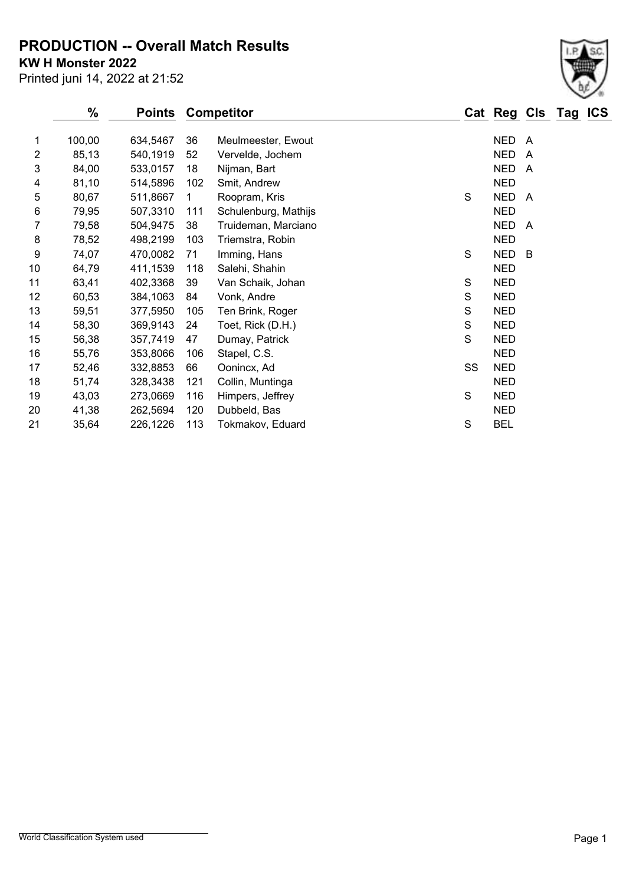**PRODUCTION -- Overall Match Results**

**KW H Monster 2022**

|                | %      | <b>Points</b> |             | <b>Competitor</b>    |    | Cat Reg Cls Tag |                | <b>ICS</b> |
|----------------|--------|---------------|-------------|----------------------|----|-----------------|----------------|------------|
| 1              | 100,00 | 634,5467      | 36          | Meulmeester, Ewout   |    | <b>NED</b>      | A              |            |
| $\overline{2}$ | 85,13  | 540,1919      | 52          | Vervelde, Jochem     |    | <b>NED</b>      | $\overline{A}$ |            |
| 3              | 84,00  | 533,0157      | 18          | Nijman, Bart         |    | <b>NED</b>      | A              |            |
| 4              | 81,10  | 514,5896      | 102         | Smit, Andrew         |    | <b>NED</b>      |                |            |
| 5              | 80,67  | 511,8667      | $\mathbf 1$ | Roopram, Kris        | S  | <b>NED</b>      | A              |            |
| 6              | 79,95  | 507,3310      | 111         | Schulenburg, Mathijs |    | <b>NED</b>      |                |            |
| 7              | 79,58  | 504,9475      | 38          | Truideman, Marciano  |    | <b>NED</b>      | A              |            |
| 8              | 78,52  | 498,2199      | 103         | Triemstra, Robin     |    | <b>NED</b>      |                |            |
| 9              | 74,07  | 470,0082      | 71          | Imming, Hans         | S  | <b>NED</b>      | B              |            |
| 10             | 64,79  | 411,1539      | 118         | Salehi, Shahin       |    | <b>NED</b>      |                |            |
| 11             | 63,41  | 402,3368      | 39          | Van Schaik, Johan    | S  | <b>NED</b>      |                |            |
| 12             | 60,53  | 384,1063      | 84          | Vonk, Andre          | S  | <b>NED</b>      |                |            |
| 13             | 59,51  | 377,5950      | 105         | Ten Brink, Roger     | S  | <b>NED</b>      |                |            |
| 14             | 58,30  | 369,9143      | 24          | Toet, Rick (D.H.)    | S  | <b>NED</b>      |                |            |
| 15             | 56,38  | 357,7419      | 47          | Dumay, Patrick       | S  | <b>NED</b>      |                |            |
| 16             | 55,76  | 353,8066      | 106         | Stapel, C.S.         |    | <b>NED</b>      |                |            |
| 17             | 52,46  | 332,8853      | 66          | Oonincx, Ad          | SS | <b>NED</b>      |                |            |
| 18             | 51,74  | 328,3438      | 121         | Collin, Muntinga     |    | <b>NED</b>      |                |            |
| 19             | 43,03  | 273,0669      | 116         | Himpers, Jeffrey     | S  | <b>NED</b>      |                |            |
| 20             | 41,38  | 262,5694      | 120         | Dubbeld, Bas         |    | <b>NED</b>      |                |            |
| 21             | 35,64  | 226,1226      | 113         | Tokmakov, Eduard     | S  | <b>BEL</b>      |                |            |
|                |        |               |             |                      |    |                 |                |            |

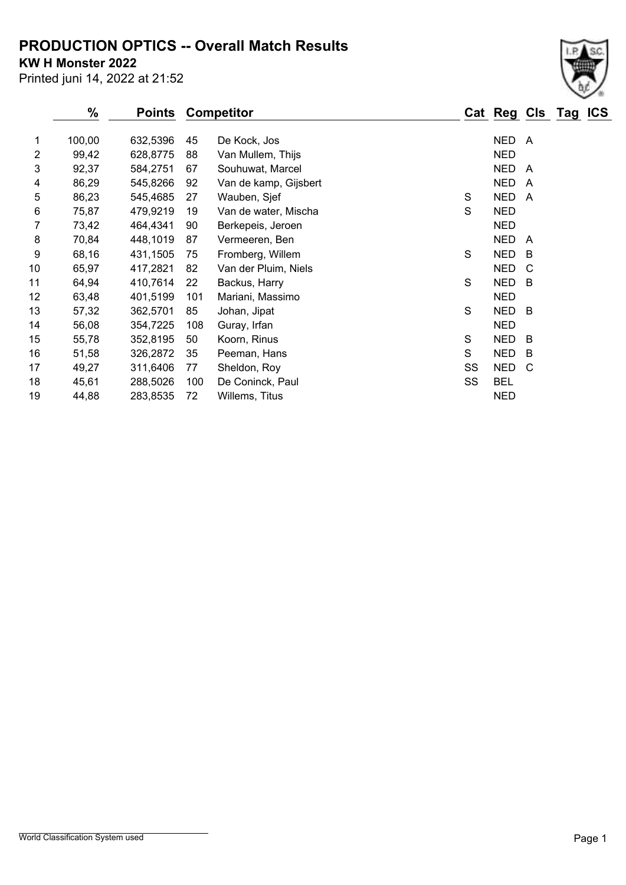## **PRODUCTION OPTICS -- Overall Match Results**

**KW H Monster 2022**

Printed juni 14, 2022 at 21:52

|    | $\%$   | <b>Points</b> |     | <b>Competitor</b>     |    | Cat Reg Cls Tag |     | <b>ICS</b> |
|----|--------|---------------|-----|-----------------------|----|-----------------|-----|------------|
| 1  | 100,00 | 632,5396      | 45  | De Kock, Jos          |    | NED A           |     |            |
| 2  | 99,42  | 628,8775      | 88  | Van Mullem, Thijs     |    | <b>NED</b>      |     |            |
| 3  | 92,37  | 584,2751      | 67  | Souhuwat, Marcel      |    | <b>NED</b>      | A   |            |
| 4  | 86,29  | 545,8266      | 92  | Van de kamp, Gijsbert |    | <b>NED</b>      | A   |            |
| 5  | 86,23  | 545,4685      | 27  | Wauben, Sjef          | S  | <b>NED</b>      | A   |            |
| 6  | 75,87  | 479,9219      | 19  | Van de water, Mischa  | S  | <b>NED</b>      |     |            |
| 7  | 73,42  | 464,4341      | 90  | Berkepeis, Jeroen     |    | <b>NED</b>      |     |            |
| 8  | 70,84  | 448,1019      | 87  | Vermeeren, Ben        |    | <b>NED</b>      | A   |            |
| 9  | 68,16  | 431,1505      | 75  | Fromberg, Willem      | S  | <b>NED</b>      | -B  |            |
| 10 | 65,97  | 417,2821      | 82  | Van der Pluim, Niels  |    | <b>NED</b>      | C   |            |
| 11 | 64,94  | 410,7614      | 22  | Backus, Harry         | S  | <b>NED</b>      | - B |            |
| 12 | 63,48  | 401,5199      | 101 | Mariani, Massimo      |    | <b>NED</b>      |     |            |
| 13 | 57,32  | 362,5701      | 85  | Johan, Jipat          | S  | <b>NED</b>      | - B |            |
| 14 | 56,08  | 354,7225      | 108 | Guray, Irfan          |    | <b>NED</b>      |     |            |
| 15 | 55,78  | 352,8195      | 50  | Koorn, Rinus          | S  | <b>NED</b>      | - B |            |
| 16 | 51,58  | 326,2872      | 35  | Peeman, Hans          | S  | <b>NED</b>      | - B |            |
| 17 | 49,27  | 311,6406      | 77  | Sheldon, Roy          | SS | <b>NED</b>      | C   |            |
| 18 | 45,61  | 288,5026      | 100 | De Coninck, Paul      | SS | <b>BEL</b>      |     |            |
| 19 | 44,88  | 283,8535      | 72  | Willems, Titus        |    | <b>NED</b>      |     |            |

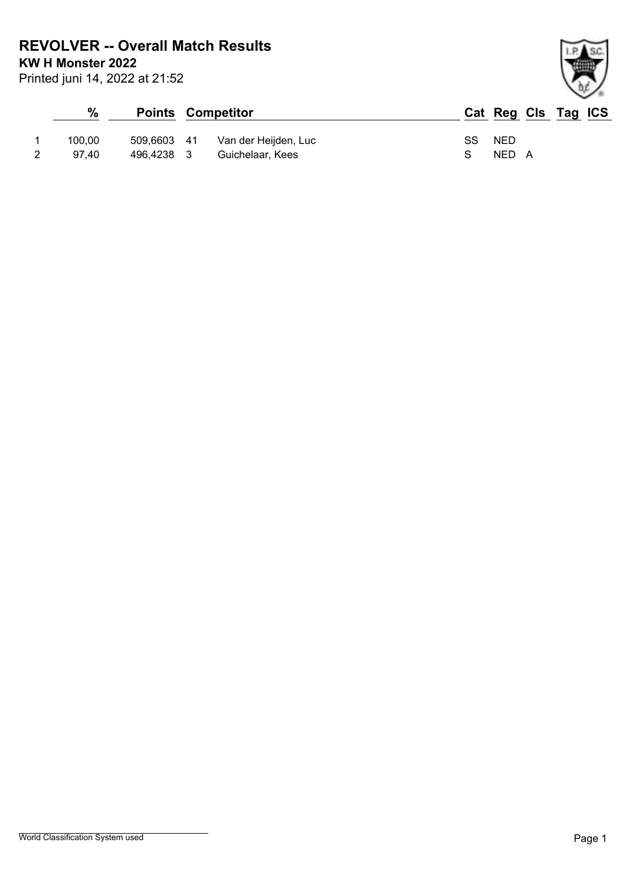**REVOLVER -- Overall Match Results**

**KW H Monster 2022**

Printed juni 14, 2022 at 21:52

## **% Points Competitor Cat Reg Cls Tag ICS** 1 100,00 509,6603 41 Van der Heijden, Luc SS NED 2 97,40 496,4238 3 Guichelaar, Kees S NED A

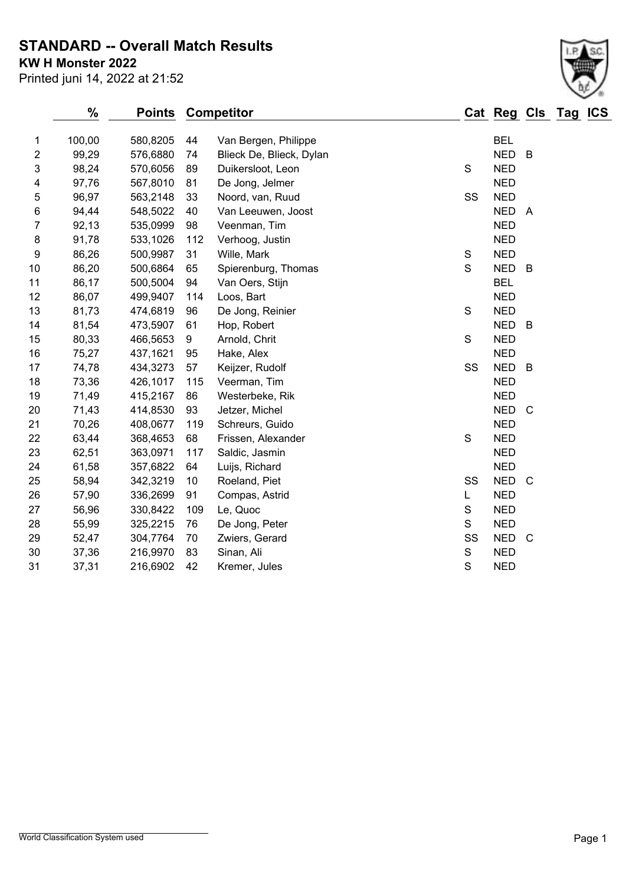**STANDARD -- Overall Match Results**

**KW H Monster 2022**

| Printed juni 14, 2022 at 21:52 |  |  |  |  |  |  |
|--------------------------------|--|--|--|--|--|--|
|--------------------------------|--|--|--|--|--|--|

|                | $\frac{0}{0}$ | <b>Points</b> |     | <b>Competitor</b>        |               | Cat Reg Cls Tag ICS |                |  |
|----------------|---------------|---------------|-----|--------------------------|---------------|---------------------|----------------|--|
| 1              | 100,00        | 580,8205      | 44  | Van Bergen, Philippe     |               | <b>BEL</b>          |                |  |
| $\overline{c}$ | 99,29         | 576,6880      | 74  | Blieck De, Blieck, Dylan |               | <b>NED</b>          | B              |  |
| 3              | 98,24         | 570,6056      | 89  | Duikersloot, Leon        | S             | <b>NED</b>          |                |  |
| 4              | 97,76         | 567,8010      | 81  | De Jong, Jelmer          |               | <b>NED</b>          |                |  |
| 5              | 96,97         | 563,2148      | 33  | Noord, van, Ruud         | SS            | <b>NED</b>          |                |  |
| 6              | 94,44         | 548,5022      | 40  | Van Leeuwen, Joost       |               | <b>NED</b>          | $\overline{A}$ |  |
| 7              | 92,13         | 535,0999      | 98  | Veenman, Tim             |               | <b>NED</b>          |                |  |
| 8              | 91,78         | 533,1026      | 112 | Verhoog, Justin          |               | <b>NED</b>          |                |  |
| 9              | 86,26         | 500,9987      | 31  | Wille, Mark              | ${\mathsf S}$ | <b>NED</b>          |                |  |
| 10             | 86,20         | 500,6864      | 65  | Spierenburg, Thomas      | S             | <b>NED</b>          | B              |  |
| 11             | 86,17         | 500,5004      | 94  | Van Oers, Stijn          |               | <b>BEL</b>          |                |  |
| 12             | 86,07         | 499,9407      | 114 | Loos, Bart               |               | <b>NED</b>          |                |  |
| 13             | 81,73         | 474,6819      | 96  | De Jong, Reinier         | $\mathsf S$   | <b>NED</b>          |                |  |
| 14             | 81,54         | 473,5907      | 61  | Hop, Robert              |               | <b>NED</b>          | B              |  |
| 15             | 80,33         | 466,5653      | 9   | Arnold, Chrit            | $\mathbf S$   | <b>NED</b>          |                |  |
| 16             | 75,27         | 437,1621      | 95  | Hake, Alex               |               | <b>NED</b>          |                |  |
| 17             | 74,78         | 434,3273      | 57  | Keijzer, Rudolf          | SS            | <b>NED</b>          | $\overline{B}$ |  |
| 18             | 73,36         | 426,1017      | 115 | Veerman, Tim             |               | <b>NED</b>          |                |  |
| 19             | 71,49         | 415,2167      | 86  | Westerbeke, Rik          |               | <b>NED</b>          |                |  |
| 20             | 71,43         | 414,8530      | 93  | Jetzer, Michel           |               | <b>NED</b>          | $\mathsf{C}$   |  |
| 21             | 70,26         | 408,0677      | 119 | Schreurs, Guido          |               | <b>NED</b>          |                |  |
| 22             | 63,44         | 368,4653      | 68  | Frissen, Alexander       | $\mathsf S$   | <b>NED</b>          |                |  |
| 23             | 62,51         | 363,0971      | 117 | Saldic, Jasmin           |               | <b>NED</b>          |                |  |
| 24             | 61,58         | 357,6822      | 64  | Luijs, Richard           |               | <b>NED</b>          |                |  |
| 25             | 58,94         | 342,3219      | 10  | Roeland, Piet            | SS            | <b>NED</b>          | $\mathbf C$    |  |
| 26             | 57,90         | 336,2699      | 91  | Compas, Astrid           | L             | <b>NED</b>          |                |  |
| 27             | 56,96         | 330,8422      | 109 | Le, Quoc                 | $\mathbf S$   | <b>NED</b>          |                |  |
| 28             | 55,99         | 325,2215      | 76  | De Jong, Peter           | S             | <b>NED</b>          |                |  |
| 29             | 52,47         | 304,7764      | 70  | Zwiers, Gerard           | SS            | <b>NED</b>          | $\mathsf{C}$   |  |
| 30             | 37,36         | 216,9970      | 83  | Sinan, Ali               | $\mathbf S$   | <b>NED</b>          |                |  |
| 31             | 37,31         | 216,6902      | 42  | Kremer, Jules            | S             | <b>NED</b>          |                |  |
|                |               |               |     |                          |               |                     |                |  |